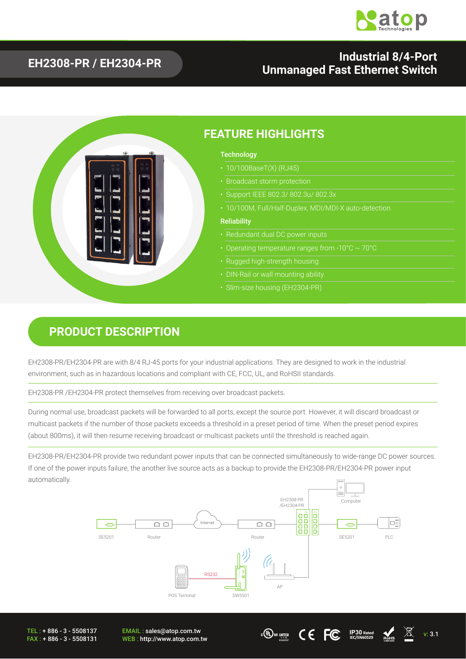

#### **EH2308-PR / EH2304-PR Industrial 8/4-Port Unmanaged Fast Ethernet Switch**



#### **PRODUCT DESCRIPTION**

EH2308-PR/EH2304-PR are with 8/4 RJ-45 ports for your industrial applications. They are designed to work in the industrial environment, such as in hazardous locations and compliant with CE, FCC, UL, and RoHSII standards.

EH2308-PR /EH2304-PR protect themselves from receiving over broadcast packets.

During normal use, broadcast packets will be forwarded to all ports, except the source port. However, it will discard broadcast or multicast packets if the number of those packets exceeds a threshold in a preset period of time. When the preset period expires (about 800ms), it will then resume receiving broadcast or multicast packets until the threshold is reached again.

EH2308-PR/EH2304-PR provide two redundant power inputs that can be connected simultaneously to wide-range DC power sources. If one of the power inputs failure, the another live source acts as a backup to provide the EH2308-PR/EH2304-PR power input automatically.



TEL : + 886 - 3 - 5508137 FAX : + 886 - 3 - 5508131 EMAIL : sales@atop.com.tw  $\frac{\text{EMAIL: sales@atop.com.tw}}{\text{WEB: http://www.atop.com.tw}}$   $\text{WER: http://www.atop.com.tw}$ 



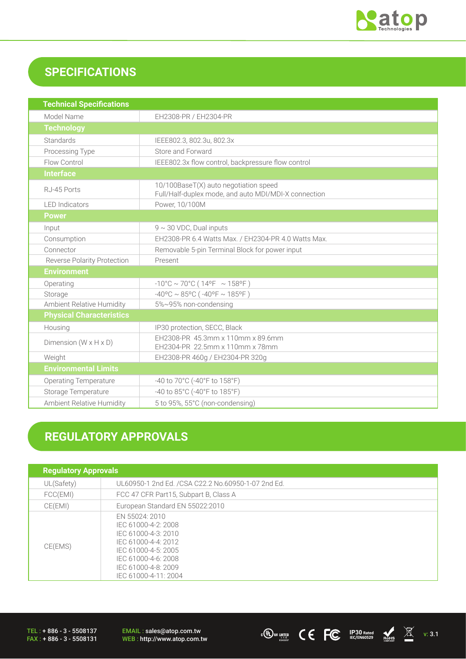

## **SPECIFICATIONS**

| <b>Technical Specifications</b>    |                                                                                               |  |  |
|------------------------------------|-----------------------------------------------------------------------------------------------|--|--|
| Model Name                         | EH2308-PR / EH2304-PR                                                                         |  |  |
| <b>Technology</b>                  |                                                                                               |  |  |
| Standards                          | IEEE802.3, 802.3u, 802.3x                                                                     |  |  |
| Processing Type                    | Store and Forward                                                                             |  |  |
| Flow Control                       | IEEE802.3x flow control, backpressure flow control                                            |  |  |
| <b>Interface</b>                   |                                                                                               |  |  |
| RJ-45 Ports                        | 10/100BaseT(X) auto negotiation speed<br>Full/Half-duplex mode, and auto MDI/MDI-X connection |  |  |
| <b>LED</b> Indicators              | Power, 10/100M                                                                                |  |  |
| <b>Power</b>                       |                                                                                               |  |  |
| Input                              | $9 \sim 30$ VDC, Dual inputs                                                                  |  |  |
| Consumption                        | EH2308-PR 6.4 Watts Max. / EH2304-PR 4.0 Watts Max.                                           |  |  |
| Connector                          | Removable 5-pin Terminal Block for power input                                                |  |  |
| <b>Reverse Polarity Protection</b> | Present                                                                                       |  |  |
| <b>Environment</b>                 |                                                                                               |  |  |
| Operating                          | $-10^{\circ}$ C ~ 70°C (14°F ~ 158°F)                                                         |  |  |
| Storage                            | $-40^{\circ}$ C ~ 85°C ( $-40^{\circ}$ F ~ 185°F)                                             |  |  |
| Ambient Relative Humidity          | 5%~95% non-condensing                                                                         |  |  |
| <b>Physical Characteristics</b>    |                                                                                               |  |  |
| Housing                            | IP30 protection, SECC, Black                                                                  |  |  |
| Dimension $(W \times H \times D)$  | EH2308-PR 45.3mm x 110mm x 89.6mm<br>EH2304-PR 22.5mm x 110mm x 78mm                          |  |  |
| Weight                             | EH2308-PR 460g / EH2304-PR 320g                                                               |  |  |
| <b>Environmental Limits</b>        |                                                                                               |  |  |
| <b>Operating Temperature</b>       | -40 to 70°C (-40°F to 158°F)                                                                  |  |  |
| Storage Temperature                | -40 to 85°C (-40°F to 185°F)                                                                  |  |  |
| <b>Ambient Relative Humidity</b>   | 5 to 95%, 55°C (non-condensing)                                                               |  |  |

# **REGULATORY APPROVALS**

| <b>Regulatory Approvals</b> |                                                                                                                                                                                  |  |
|-----------------------------|----------------------------------------------------------------------------------------------------------------------------------------------------------------------------------|--|
| UL(Safety)                  | UL60950-1 2nd Ed. /CSA C22.2 No.60950-1-07 2nd Ed.                                                                                                                               |  |
| FCC(EMI)                    | FCC 47 CFR Part15, Subpart B, Class A                                                                                                                                            |  |
| CE(EMI)                     | European Standard EN 55022:2010                                                                                                                                                  |  |
| CE(EMS)                     | EN 55024: 2010<br>IEC 61000-4-2: 2008<br>IEC 61000-4-3: 2010<br>IEC 61000-4-4: 2012<br>IEC 61000-4-5: 2005<br>IEC 61000-4-6: 2008<br>IEC 61000-4-8: 2009<br>IEC 61000-4-11: 2004 |  |

TEL : + 886 - 3 - 5508137 FAX : + 886 - 3 - 5508131 EMAIL : sales@atop.com.tw<br>WEB : http://www.atop.com.tw